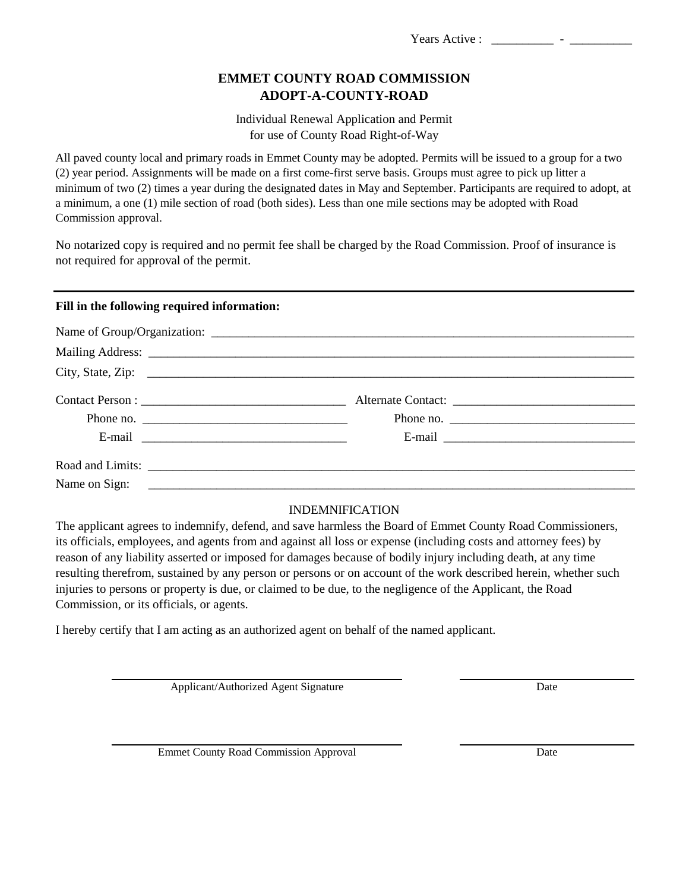Years Active : \_\_\_\_\_\_\_\_\_\_\_\_\_\_ - \_\_\_\_\_\_\_\_

# **ADOPT-A-COUNTY-ROAD EMMET COUNTY ROAD COMMISSION**

for use of County Road Right-of-Way Individual Renewal Application and Permit

All paved county local and primary roads in Emmet County may be adopted. Permits will be issued to a group for a two (2) year period. Assignments will be made on a first come-first serve basis. Groups must agree to pick up litter a minimum of two (2) times a year during the designated dates in May and September. Participants are required to adopt, at a minimum, a one (1) mile section of road (both sides). Less than one mile sections may be adopted with Road Commission approval.

No notarized copy is required and no permit fee shall be charged by the Road Commission. Proof of insurance is not required for approval of the permit.

### **Fill in the following required information:**

|                                                                                                                                                                                                                                                                                                                                                                                                             | City, State, Zip: 2008. Experience and the State of Table 2008. The State of Table 2008. The State of Table 2008. The State of Table 2008. The State of Table 2008. The State of Table 2008. The State of Table 2008. The Stat                                                                                                                                                                              |  |
|-------------------------------------------------------------------------------------------------------------------------------------------------------------------------------------------------------------------------------------------------------------------------------------------------------------------------------------------------------------------------------------------------------------|-------------------------------------------------------------------------------------------------------------------------------------------------------------------------------------------------------------------------------------------------------------------------------------------------------------------------------------------------------------------------------------------------------------|--|
|                                                                                                                                                                                                                                                                                                                                                                                                             |                                                                                                                                                                                                                                                                                                                                                                                                             |  |
| Phone no. $\frac{1}{\sqrt{1-\frac{1}{2}}\sqrt{1-\frac{1}{2}}\sqrt{1-\frac{1}{2}}\sqrt{1-\frac{1}{2}}\sqrt{1-\frac{1}{2}}\sqrt{1-\frac{1}{2}}\sqrt{1-\frac{1}{2}}\sqrt{1-\frac{1}{2}}\sqrt{1-\frac{1}{2}}\sqrt{1-\frac{1}{2}}\sqrt{1-\frac{1}{2}}\sqrt{1-\frac{1}{2}}\sqrt{1-\frac{1}{2}}\sqrt{1-\frac{1}{2}}\sqrt{1-\frac{1}{2}}\sqrt{1-\frac{1}{2}}\sqrt{1-\frac{1}{2}}\sqrt{1-\frac{1}{2}}\sqrt{1-\frac{$ | Phone no. $\frac{1}{\sqrt{1-\frac{1}{2}}\sqrt{1-\frac{1}{2}}\sqrt{1-\frac{1}{2}}\sqrt{1-\frac{1}{2}}\sqrt{1-\frac{1}{2}}\sqrt{1-\frac{1}{2}}\sqrt{1-\frac{1}{2}}\sqrt{1-\frac{1}{2}}\sqrt{1-\frac{1}{2}}\sqrt{1-\frac{1}{2}}\sqrt{1-\frac{1}{2}}\sqrt{1-\frac{1}{2}}\sqrt{1-\frac{1}{2}}\sqrt{1-\frac{1}{2}}\sqrt{1-\frac{1}{2}}\sqrt{1-\frac{1}{2}}\sqrt{1-\frac{1}{2}}\sqrt{1-\frac{1}{2}}\sqrt{1-\frac{$ |  |
| E-mail $\frac{1}{\sqrt{1-\frac{1}{2}}}\left\{ \frac{1}{\sqrt{1-\frac{1}{2}}}\right\}$                                                                                                                                                                                                                                                                                                                       |                                                                                                                                                                                                                                                                                                                                                                                                             |  |
|                                                                                                                                                                                                                                                                                                                                                                                                             |                                                                                                                                                                                                                                                                                                                                                                                                             |  |
|                                                                                                                                                                                                                                                                                                                                                                                                             |                                                                                                                                                                                                                                                                                                                                                                                                             |  |

#### INDEMNIFICATION

The applicant agrees to indemnify, defend, and save harmless the Board of Emmet County Road Commissioners, its officials, employees, and agents from and against all loss or expense (including costs and attorney fees) by reason of any liability asserted or imposed for damages because of bodily injury including death, at any time resulting therefrom, sustained by any person or persons or on account of the work described herein, whether such injuries to persons or property is due, or claimed to be due, to the negligence of the Applicant, the Road Commission, or its officials, or agents.

I hereby certify that I am acting as an authorized agent on behalf of the named applicant.

Applicant/Authorized Agent Signature

Date

Emmet County Road Commission Approval

Date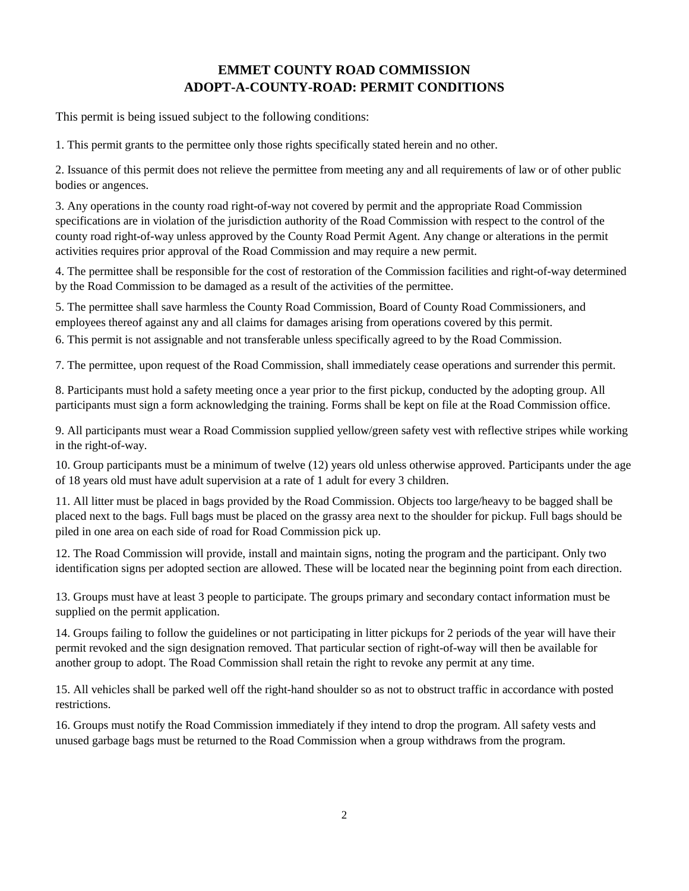## **ADOPT-A-COUNTY-ROAD: PERMIT CONDITIONS EMMET COUNTY ROAD COMMISSION**

This permit is being issued subject to the following conditions:

1. This permit grants to the permittee only those rights specifically stated herein and no other.

2. Issuance of this permit does not relieve the permittee from meeting any and all requirements of law or of other public bodies or angences.

3. Any operations in the county road right-of-way not covered by permit and the appropriate Road Commission specifications are in violation of the jurisdiction authority of the Road Commission with respect to the control of the county road right-of-way unless approved by the County Road Permit Agent. Any change or alterations in the permit activities requires prior approval of the Road Commission and may require a new permit.

4. The permittee shall be responsible for the cost of restoration of the Commission facilities and right-of-way determined by the Road Commission to be damaged as a result of the activities of the permittee.

5. The permittee shall save harmless the County Road Commission, Board of County Road Commissioners, and employees thereof against any and all claims for damages arising from operations covered by this permit.

6. This permit is not assignable and not transferable unless specifically agreed to by the Road Commission.

7. The permittee, upon request of the Road Commission, shall immediately cease operations and surrender this permit.

8. Participants must hold a safety meeting once a year prior to the first pickup, conducted by the adopting group. All participants must sign a form acknowledging the training. Forms shall be kept on file at the Road Commission office.

9. All participants must wear a Road Commission supplied yellow/green safety vest with reflective stripes while working in the right-of-way.

10. Group participants must be a minimum of twelve (12) years old unless otherwise approved. Participants under the age of 18 years old must have adult supervision at a rate of 1 adult for every 3 children.

11. All litter must be placed in bags provided by the Road Commission. Objects too large/heavy to be bagged shall be placed next to the bags. Full bags must be placed on the grassy area next to the shoulder for pickup. Full bags should be piled in one area on each side of road for Road Commission pick up.

12. The Road Commission will provide, install and maintain signs, noting the program and the participant. Only two identification signs per adopted section are allowed. These will be located near the beginning point from each direction.

13. Groups must have at least 3 people to participate. The groups primary and secondary contact information must be supplied on the permit application.

14. Groups failing to follow the guidelines or not participating in litter pickups for 2 periods of the year will have their permit revoked and the sign designation removed. That particular section of right-of-way will then be available for another group to adopt. The Road Commission shall retain the right to revoke any permit at any time.

15. All vehicles shall be parked well off the right-hand shoulder so as not to obstruct traffic in accordance with posted restrictions.

16. Groups must notify the Road Commission immediately if they intend to drop the program. All safety vests and unused garbage bags must be returned to the Road Commission when a group withdraws from the program.